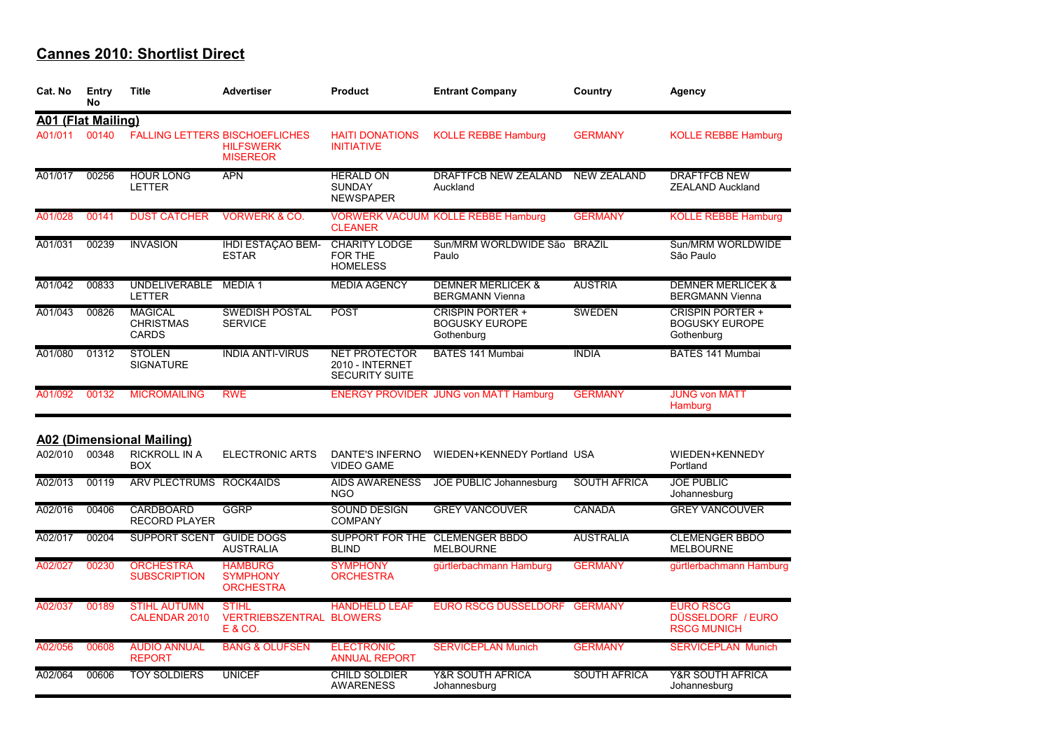| Cat. No                   | Entry<br>No | <b>Title</b>                                       | <b>Advertiser</b>                                                            | <b>Product</b>                                                   | <b>Entrant Company</b>                                         | Country             | Agency                                                         |
|---------------------------|-------------|----------------------------------------------------|------------------------------------------------------------------------------|------------------------------------------------------------------|----------------------------------------------------------------|---------------------|----------------------------------------------------------------|
| <b>A01 (Flat Mailing)</b> |             |                                                    |                                                                              |                                                                  |                                                                |                     |                                                                |
| A01/011                   | 00140       |                                                    | <b>FALLING LETTERS BISCHOEFLICHES</b><br><b>HILFSWERK</b><br><b>MISEREOR</b> | <b>HAITI DONATIONS</b><br><b>INITIATIVE</b>                      | <b>KOLLE REBBE Hamburg</b>                                     | <b>GERMANY</b>      | <b>KOLLE REBBE Hamburg</b>                                     |
| A01/017                   | 00256       | <b>HOUR LONG</b><br><b>LETTER</b>                  | <b>APN</b>                                                                   | <b>HERALD ON</b><br><b>SUNDAY</b><br><b>NEWSPAPER</b>            | <b>DRAFTFCB NEW ZEALAND</b><br>Auckland                        | <b>NEW ZEALAND</b>  | <b>DRAFTFCB NEW</b><br><b>ZEALAND Auckland</b>                 |
| A01/028                   | 00141       | <b>DUST CATCHER</b>                                | <b>VORWERK &amp; CO.</b>                                                     | <b>CLEANER</b>                                                   | <b>VORWERK VACUUM KOLLE REBBE Hamburg</b>                      | <b>GERMANY</b>      | <b>KOLLE REBBE Hamburg</b>                                     |
| A01/031                   | 00239       | <b>INVASION</b>                                    | IHDI ESTAÇÃO BEM-<br><b>ESTAR</b>                                            | <b>CHARITY LODGE</b><br>FOR THE<br><b>HOMELESS</b>               | Sun/MRM WORLDWIDE São<br>Paulo                                 | <b>BRAZIL</b>       | Sun/MRM WORLDWIDE<br>São Paulo                                 |
| A01/042                   | 00833       | UNDELIVERABLE MEDIA 1<br><b>LETTER</b>             |                                                                              | <b>MEDIA AGENCY</b>                                              | <b>DEMNER MERLICEK &amp;</b><br><b>BERGMANN Vienna</b>         | <b>AUSTRIA</b>      | <b>DEMNER MERLICEK &amp;</b><br><b>BERGMANN Vienna</b>         |
| A01/043                   | 00826       | <b>MAGICAL</b><br><b>CHRISTMAS</b><br><b>CARDS</b> | <b>SWEDISH POSTAL</b><br><b>SERVICE</b>                                      | <b>POST</b>                                                      | <b>CRISPIN PORTER +</b><br><b>BOGUSKY EUROPE</b><br>Gothenburg | <b>SWEDEN</b>       | <b>CRISPIN PORTER +</b><br><b>BOGUSKY EUROPE</b><br>Gothenburg |
| A01/080                   | 01312       | <b>STOLEN</b><br><b>SIGNATURE</b>                  | <b>INDIA ANTI-VIRUS</b>                                                      | <b>NET PROTECTOR</b><br>2010 - INTERNET<br><b>SECURITY SUITE</b> | <b>BATES 141 Mumbai</b>                                        | <b>INDIA</b>        | BATES 141 Mumbai                                               |
| A01/092                   | 00132       | <b>MICROMAILING</b>                                | <b>RWE</b>                                                                   |                                                                  | <b>ENERGY PROVIDER JUNG von MATT Hamburg</b>                   | <b>GERMANY</b>      | <b>JUNG von MATT</b><br>Hamburg                                |
|                           |             | <b>A02 (Dimensional Mailing)</b>                   |                                                                              |                                                                  |                                                                |                     |                                                                |
| A02/010                   | 00348       | <b>RICKROLL IN A</b><br><b>BOX</b>                 | <b>ELECTRONIC ARTS</b>                                                       | <b>DANTE'S INFERNO</b><br><b>VIDEO GAME</b>                      | WIEDEN+KENNEDY Portland USA                                    |                     | WIEDEN+KENNEDY<br>Portland                                     |
| A02/013                   | 00119       | ARV PLECTRUMS ROCK4AIDS                            |                                                                              | <b>AIDS AWARENESS</b><br><b>NGO</b>                              | JOE PUBLIC Johannesburg                                        | <b>SOUTH AFRICA</b> | <b>JOE PUBLIC</b><br>Johannesburg                              |
| A02/016                   | 00406       | <b>CARDBOARD</b><br><b>RECORD PLAYER</b>           | <b>GGRP</b>                                                                  | <b>SOUND DESIGN</b><br><b>COMPANY</b>                            | <b>GREY VANCOUVER</b>                                          | <b>CANADA</b>       | <b>GREY VANCOUVER</b>                                          |
| A02/017                   | 00204       | <b>SUPPORT SCENT</b>                               | <b>GUIDE DOGS</b><br><b>AUSTRALIA</b>                                        | <b>BLIND</b>                                                     | SUPPORT FOR THE CLEMENGER BBDO<br><b>MELBOURNE</b>             | <b>AUSTRALIA</b>    | <b>CLEMENGER BBDO</b><br><b>MELBOURNE</b>                      |
| A02/027                   | 00230       | <b>ORCHESTRA</b><br><b>SUBSCRIPTION</b>            | <b>HAMBURG</b><br><b>SYMPHONY</b><br><b>ORCHESTRA</b>                        | <b>SYMPHONY</b><br><b>ORCHESTRA</b>                              | gürtlerbachmann Hamburg                                        | <b>GERMANY</b>      | gürtlerbachmann Hamburg                                        |
| A02/037                   | 00189       | <b>STIHL AUTUMN</b><br><b>CALENDAR 2010</b>        | <b>STIHL</b><br><b>VERTRIEBSZENTRAL BLOWERS</b><br>E & CO.                   | <b>HANDHELD LEAF</b>                                             | <b>EURO RSCG DÜSSELDORF</b>                                    | <b>GERMANY</b>      | <b>EURO RSCG</b><br>DÜSSELDORF / EURO<br><b>RSCG MUNICH</b>    |
| A02/056                   | 00608       | <b>AUDIO ANNUAL</b><br><b>REPORT</b>               | <b>BANG &amp; OLUFSEN</b>                                                    | <b>ELECTRONIC</b><br><b>ANNUAL REPORT</b>                        | <b>SERVICEPLAN Munich</b>                                      | <b>GERMANY</b>      | <b>SERVICEPLAN Munich</b>                                      |
| A02/064                   | 00606       | <b>TOY SOLDIERS</b>                                | <b>UNICEF</b>                                                                | <b>CHILD SOLDIER</b><br><b>AWARENESS</b>                         | <b>Y&amp;R SOUTH AFRICA</b><br>Johannesburg                    | <b>SOUTH AFRICA</b> | <b>Y&amp;R SOUTH AFRICA</b><br>Johannesburg                    |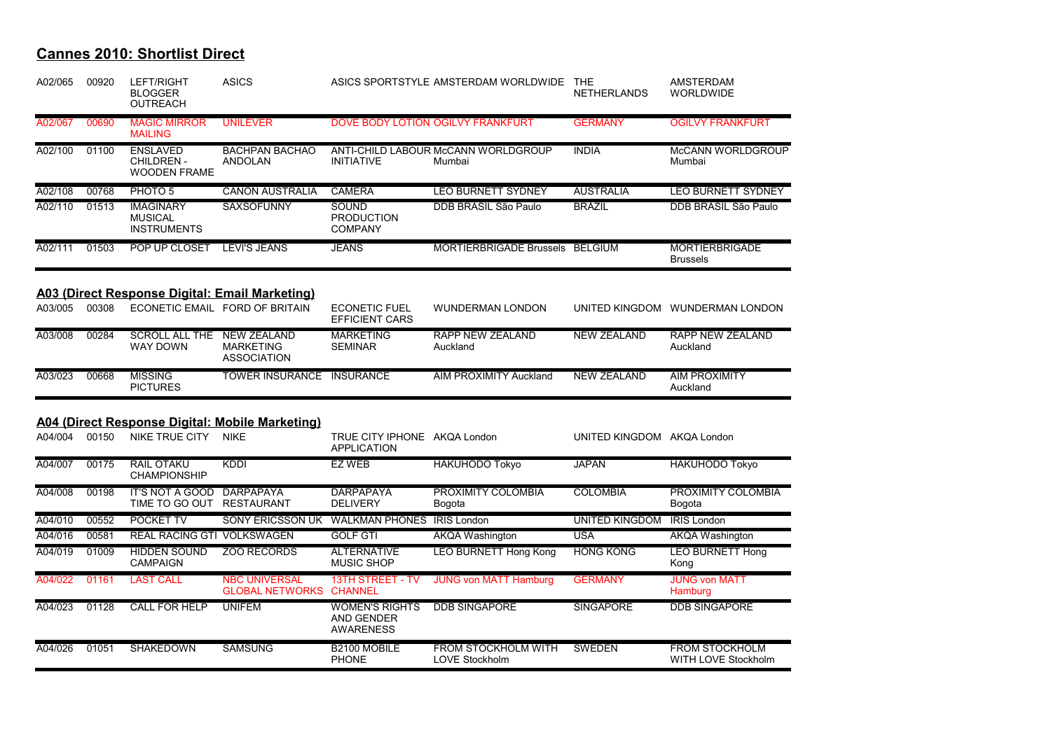| A02/065 | 00920 | LEFT/RIGHT<br><b>BLOGGER</b><br><b>OUTREACH</b>            | <b>ASICS</b>                                                 |                                                                | ASICS SPORTSTYLE AMSTERDAM WORLDWIDE          | <b>THE</b><br><b>NETHERLANDS</b> | AMSTERDAM<br><b>WORLDWIDE</b>                       |
|---------|-------|------------------------------------------------------------|--------------------------------------------------------------|----------------------------------------------------------------|-----------------------------------------------|----------------------------------|-----------------------------------------------------|
| A02/067 | 00690 | <b>MAGIC MIRROR</b><br><b>MAILING</b>                      | <b>UNILEVER</b>                                              |                                                                | DOVE BODY LOTION OGILVY FRANKFURT             | <b>GERMANY</b>                   | <b>OGILVY FRANKFURT</b>                             |
| A02/100 | 01100 | <b>ENSLAVED</b><br><b>CHILDREN-</b><br><b>WOODEN FRAME</b> | <b>BACHPAN BACHAO</b><br><b>ANDOLAN</b>                      | <b>INITIATIVE</b>                                              | ANTI-CHILD LABOUR McCANN WORLDGROUP<br>Mumbai | <b>INDIA</b>                     | McCANN WORLDGROUP<br>Mumbai                         |
| A02/108 | 00768 | PHOTO <sub>5</sub>                                         | <b>CANON AUSTRALIA</b>                                       | <b>CAMERA</b>                                                  | <b>LEO BURNETT SYDNEY</b>                     | <b>AUSTRALIA</b>                 | LEO BURNETT SYDNEY                                  |
| A02/110 | 01513 | <b>IMAGINARY</b><br><b>MUSICAL</b><br><b>INSTRUMENTS</b>   | <b>SAXSOFUNNY</b>                                            | <b>SOUND</b><br><b>PRODUCTION</b><br><b>COMPANY</b>            | DDB BRASIL São Paulo                          | <b>BRAZIL</b>                    | DDB BRASIL São Paulo                                |
| A02/111 | 01503 | POP UP CLOSET                                              | <b>LEVI'S JEANS</b>                                          | <b>JEANS</b>                                                   | <b>MORTIERBRIGADE Brussels</b>                | <b>BELGIUM</b>                   | <b>MORTIERBRIGADE</b><br><b>Brussels</b>            |
|         |       |                                                            | A03 (Direct Response Digital: Email Marketing)               |                                                                |                                               |                                  |                                                     |
| A03/005 | 00308 |                                                            | ECONETIC EMAIL FORD OF BRITAIN                               | <b>ECONETIC FUEL</b><br><b>EFFICIENT CARS</b>                  | <b>WUNDERMAN LONDON</b>                       |                                  | UNITED KINGDOM WUNDERMAN LONDON                     |
| A03/008 | 00284 | <b>SCROLL ALL THE</b><br><b>WAY DOWN</b>                   | <b>NEW ZEALAND</b><br><b>MARKETING</b><br><b>ASSOCIATION</b> | <b>MARKETING</b><br><b>SEMINAR</b>                             | <b>RAPP NEW ZEALAND</b><br>Auckland           | <b>NEW ZEALAND</b>               | <b>RAPP NEW ZEALAND</b><br>Auckland                 |
| A03/023 | 00668 | <b>MISSING</b><br><b>PICTURES</b>                          | <b>TOWER INSURANCE</b>                                       | <b>INSURANCE</b>                                               | <b>AIM PROXIMITY Auckland</b>                 | <b>NEW ZEALAND</b>               | <b>AIM PROXIMITY</b><br>Auckland                    |
|         |       |                                                            | A04 (Direct Response Digital: Mobile Marketing)              |                                                                |                                               |                                  |                                                     |
| A04/004 | 00150 | <b>NIKE TRUE CITY</b>                                      | <b>NIKE</b>                                                  | TRUE CITY IPHONE AKQA London<br><b>APPLICATION</b>             |                                               | UNITED KINGDOM AKQA London       |                                                     |
| A04/007 | 00175 | <b>RAIL OTAKU</b><br><b>CHAMPIONSHIP</b>                   | <b>KDDI</b>                                                  | EZ WEB                                                         | <b>HAKUHODO Tokyo</b>                         | <b>JAPAN</b>                     | <b>HAKUHODO Tokyo</b>                               |
| A04/008 | 00198 | <b>IT'S NOT A GOOD</b><br>TIME TO GO OUT                   | <b>DARPAPAYA</b><br><b>RESTAURANT</b>                        | <b>DARPAPAYA</b><br><b>DELIVERY</b>                            | PROXIMITY COLOMBIA<br>Bogota                  | <b>COLOMBIA</b>                  | PROXIMITY COLOMBIA<br>Bogota                        |
| A04/010 | 00552 | <b>POCKET TV</b>                                           | <b>SONY ERICSSON UK</b>                                      | <b>WALKMAN PHONES IRIS London</b>                              |                                               | <b>UNITED KINGDOM</b>            | <b>IRIS London</b>                                  |
| A04/016 | 00581 | <b>REAL RACING GTI VOLKSWAGEN</b>                          |                                                              | <b>GOLF GTI</b>                                                | <b>AKQA Washington</b>                        | <b>USA</b>                       | AKQA Washington                                     |
| A04/019 | 01009 | <b>HIDDEN SOUND</b><br><b>CAMPAIGN</b>                     | <b>ZOO RECORDS</b>                                           | <b>ALTERNATIVE</b><br><b>MUSIC SHOP</b>                        | <b>LEO BURNETT Hong Kong</b>                  | <b>HONG KONG</b>                 | <b>LEO BURNETT Hong</b><br>Kong                     |
| A04/022 | 01161 | <b>LAST CALL</b>                                           | <b>NBC UNIVERSAL</b><br><b>GLOBAL NETWORKS</b>               | <b>13TH STREET - TV</b><br><b>CHANNEL</b>                      | <b>JUNG von MATT Hamburg</b>                  | <b>GERMANY</b>                   | <b>JUNG von MATT</b><br>Hamburg                     |
| A04/023 | 01128 | <b>CALL FOR HELP</b>                                       | <b>UNIFEM</b>                                                | <b>WOMEN'S RIGHTS</b><br><b>AND GENDER</b><br><b>AWARENESS</b> | <b>DDB SINGAPORE</b>                          | <b>SINGAPORE</b>                 | <b>DDB SINGAPORE</b>                                |
| A04/026 | 01051 | SHAKEDOWN                                                  | <b>SAMSUNG</b>                                               | B2100 MOBILE<br><b>PHONE</b>                                   | FROM STOCKHOLM WITH<br><b>LOVE Stockholm</b>  | <b>SWEDEN</b>                    | <b>FROM STOCKHOLM</b><br><b>WITH LOVE Stockholm</b> |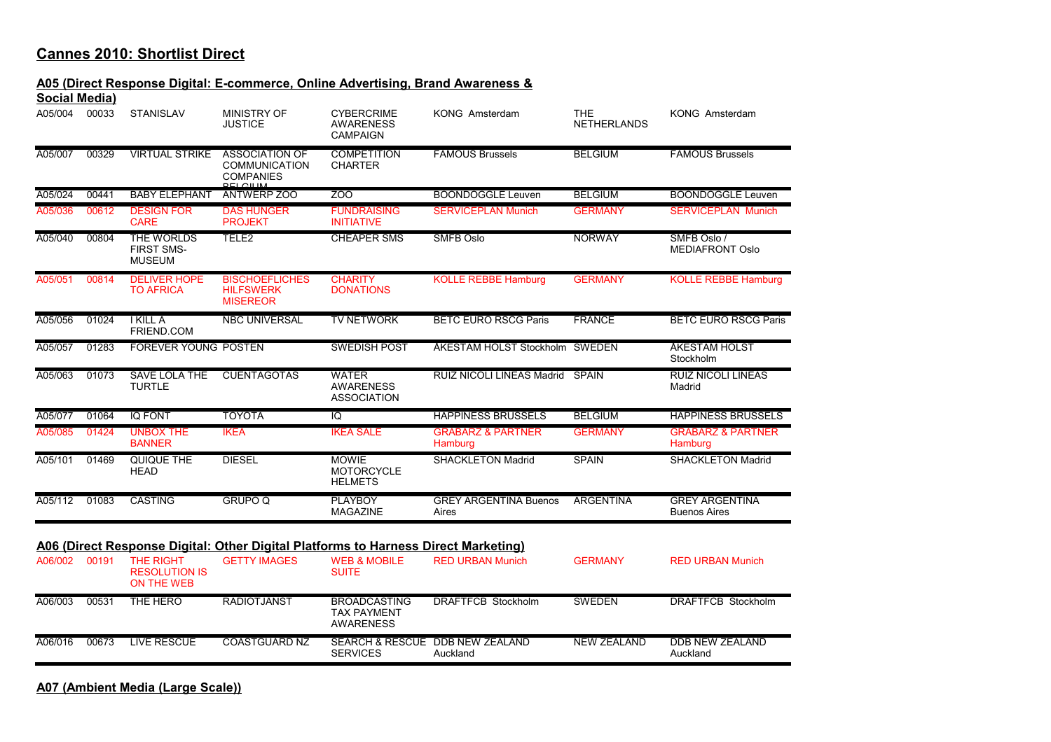#### **A05 (Direct Response Digital: E-commerce, Online Advertising, Brand Awareness &**

| Social Media) |       |                                                         |                                                                   |                                                          |                                         |                                  |                                              |
|---------------|-------|---------------------------------------------------------|-------------------------------------------------------------------|----------------------------------------------------------|-----------------------------------------|----------------------------------|----------------------------------------------|
| A05/004       | 00033 | <b>STANISLAV</b>                                        | <b>MINISTRY OF</b><br><b>JUSTICE</b>                              | <b>CYBERCRIME</b><br><b>AWARENESS</b><br><b>CAMPAIGN</b> | KONG Amsterdam                          | <b>THE</b><br><b>NETHERLANDS</b> | KONG Amsterdam                               |
| A05/007       | 00329 | <b>VIRTUAL STRIKE</b>                                   | <b>ASSOCIATION OF</b><br><b>COMMUNICATION</b><br><b>COMPANIES</b> | <b>COMPETITION</b><br><b>CHARTER</b>                     | <b>FAMOUS Brussels</b>                  | <b>BELGIUM</b>                   | <b>FAMOUS Brussels</b>                       |
| A05/024       | 00441 | <b>BABY ELEPHANT</b>                                    | <b>ANTWERP 700</b>                                                | $\overline{200}$                                         | <b>BOONDOGGLE Leuven</b>                | <b>BELGIUM</b>                   | <b>BOONDOGGLE Leuven</b>                     |
| A05/036       | 00612 | <b>DESIGN FOR</b><br><b>CARE</b>                        | <b>DAS HUNGER</b><br><b>PROJEKT</b>                               | <b>FUNDRAISING</b><br><b>INITIATIVE</b>                  | <b>SERVICEPLAN Munich</b>               | <b>GERMANY</b>                   | <b>SERVICEPLAN Munich</b>                    |
| A05/040       | 00804 | <b>THE WORLDS</b><br><b>FIRST SMS-</b><br><b>MUSEUM</b> | TELE <sub>2</sub>                                                 | <b>CHEAPER SMS</b>                                       | <b>SMFB Oslo</b>                        | <b>NORWAY</b>                    | SMFB Oslo /<br><b>MEDIAFRONT Oslo</b>        |
| A05/051       | 00814 | <b>DELIVER HOPE</b><br><b>TO AFRICA</b>                 | <b>BISCHOEFLICHES</b><br><b>HILFSWERK</b><br><b>MISEREOR</b>      | <b>CHARITY</b><br><b>DONATIONS</b>                       | <b>KOLLE REBBE Hamburg</b>              | <b>GERMANY</b>                   | <b>KOLLE REBBE Hamburg</b>                   |
| A05/056       | 01024 | <b>IKILLA</b><br>FRIEND.COM                             | <b>NBC UNIVERSAL</b>                                              | <b>TV NETWORK</b>                                        | <b>BETC EURO RSCG Paris</b>             | <b>FRANCE</b>                    | <b>BETC EURO RSCG Paris</b>                  |
| A05/057       | 01283 | <b>FOREVER YOUNG POSTEN</b>                             |                                                                   | <b>SWEDISH POST</b>                                      | ÅKESTAM HOLST Stockholm SWEDEN          |                                  | <b>ÅKESTAM HOLST</b><br>Stockholm            |
| A05/063       | 01073 | <b>SAVE LOLA THE</b><br><b>TURTLE</b>                   | <b>CUENTAGOTAS</b>                                                | <b>WATER</b><br><b>AWARENESS</b><br><b>ASSOCIATION</b>   | <b>RUIZ NICOLI LINEAS Madrid</b>        | <b>SPAIN</b>                     | <b>RUIZ NICOLI LINEAS</b><br>Madrid          |
| A05/077       | 01064 | <b>IQ FONT</b>                                          | <b>TOYOTA</b>                                                     | IQ                                                       | <b>HAPPINESS BRUSSELS</b>               | <b>BELGIUM</b>                   | <b>HAPPINESS BRUSSELS</b>                    |
| A05/085       | 01424 | <b>UNBOX THE</b><br><b>BANNER</b>                       | <b>IKEA</b>                                                       | <b>IKEA SALE</b>                                         | <b>GRABARZ &amp; PARTNER</b><br>Hamburg | <b>GERMANY</b>                   | <b>GRABARZ &amp; PARTNER</b><br>Hamburg      |
| A05/101       | 01469 | QUIQUE THE<br><b>HEAD</b>                               | <b>DIESEL</b>                                                     | <b>MOWIE</b><br><b>MOTORCYCLE</b><br><b>HELMETS</b>      | <b>SHACKLETON Madrid</b>                | <b>SPAIN</b>                     | <b>SHACKLETON Madrid</b>                     |
| A05/112       | 01083 | <b>CASTING</b>                                          | <b>GRUPO Q</b>                                                    | <b>PLAYBOY</b><br><b>MAGAZINE</b>                        | <b>GREY ARGENTINA Buenos</b><br>Aires   | <b>ARGENTINA</b>                 | <b>GREY ARGENTINA</b><br><b>Buenos Aires</b> |

| A06/002 | 00191 | <b>THE RIGHT</b><br><b>RESOLUTION IS</b><br>ON THE WEB | <b>GETTY IMAGES</b> | <b>WEB &amp; MOBILE</b><br><b>SUITE</b>                       | <b>RED URBAN Munich</b>                     | <b>GERMANY</b>     | <b>RED URBAN Munich</b>     |
|---------|-------|--------------------------------------------------------|---------------------|---------------------------------------------------------------|---------------------------------------------|--------------------|-----------------------------|
| A06/003 | 00531 | THE HERO                                               | <b>RADIOTJÄNST</b>  | <b>BROADCASTING</b><br><b>TAX PAYMENT</b><br><b>AWARENESS</b> | DRAFTFCB Stockholm                          | <b>SWEDEN</b>      | <b>DRAFTFCB Stockholm</b>   |
| A06/016 | 00673 | LIVE RESCUE                                            | COASTGUARD NZ       | <b>SERVICES</b>                                               | SEARCH & RESCUE DDB NEW ZEALAND<br>Auckland | <b>NEW ZEALAND</b> | DDB NEW ZEALAND<br>Auckland |

**A07 (Ambient Media (Large Scale))**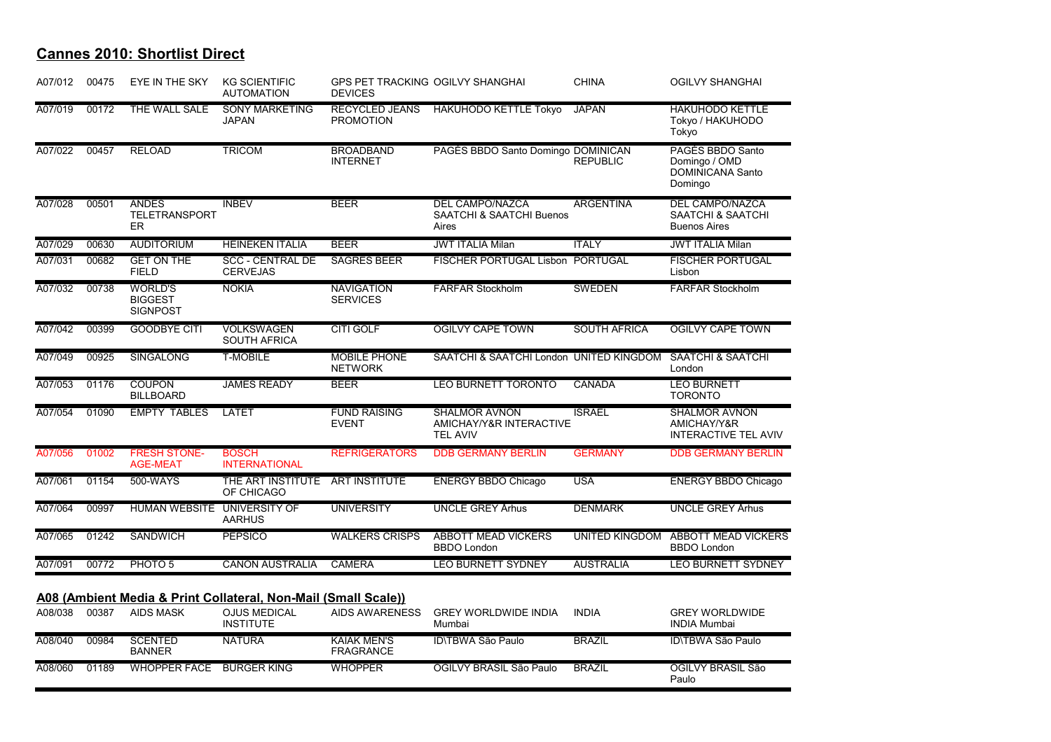| A07/012 | 00475 | EYE IN THE SKY                                      | <b>KG SCIENTIFIC</b><br><b>AUTOMATION</b>                      | <b>DEVICES</b>                            | <b>GPS PET TRACKING OGILVY SHANGHAI</b>                                | <b>CHINA</b>          | <b>OGILVY SHANGHAI</b>                                                  |
|---------|-------|-----------------------------------------------------|----------------------------------------------------------------|-------------------------------------------|------------------------------------------------------------------------|-----------------------|-------------------------------------------------------------------------|
| A07/019 | 00172 | THE WALL SALE                                       | <b>SONY MARKETING</b><br><b>JAPAN</b>                          | <b>RECYCLED JEANS</b><br><b>PROMOTION</b> | <b>HAKUHODO KETTLE Tokyo</b>                                           | <b>JAPAN</b>          | <b>HAKUHODO KETTLE</b><br>Tokyo / HAKUHODO<br>Tokyo                     |
| A07/022 | 00457 | <b>RELOAD</b>                                       | <b>TRICOM</b>                                                  | <b>BROADBAND</b><br><b>INTERNET</b>       | PAGÉS BBDO Santo Domingo DOMINICAN                                     | <b>REPUBLIC</b>       | PAGÉS BBDO Santo<br>Domingo / OMD<br><b>DOMINICANA Santo</b><br>Domingo |
| A07/028 | 00501 | <b>ANDES</b><br><b>TELETRANSPORT</b><br>ER          | <b>INBEV</b>                                                   | <b>BEER</b>                               | <b>DEL CAMPO/NAZCA</b><br><b>SAATCHI &amp; SAATCHI Buenos</b><br>Aires | <b>ARGENTINA</b>      | <b>DEL CAMPO/NAZCA</b><br>SAATCHI & SAATCHI<br><b>Buenos Aires</b>      |
| A07/029 | 00630 | <b>AUDITORIUM</b>                                   | <b>HEINEKEN ITALIA</b>                                         | <b>BEER</b>                               | <b>JWT ITALIA Milan</b>                                                | <b>ITALY</b>          | <b>JWT ITALIA Milan</b>                                                 |
| A07/031 | 00682 | <b>GET ON THE</b><br><b>FIELD</b>                   | <b>SCC - CENTRAL DE</b><br><b>CERVEJAS</b>                     | <b>SAGRES BEER</b>                        | <b>FISCHER PORTUGAL Lisbon PORTUGAL</b>                                |                       | <b>FISCHER PORTUGAL</b><br>Lisbon                                       |
| A07/032 | 00738 | <b>WORLD'S</b><br><b>BIGGEST</b><br><b>SIGNPOST</b> | <b>NOKIA</b>                                                   | <b>NAVIGATION</b><br><b>SERVICES</b>      | <b>FARFAR Stockholm</b>                                                | SWEDEN                | <b>FARFAR Stockholm</b>                                                 |
| A07/042 | 00399 | <b>GOODBYE CITI</b>                                 | <b>VOLKSWAGEN</b><br><b>SOUTH AFRICA</b>                       | CITI GOLF                                 | <b>OGILVY CAPE TOWN</b>                                                | <b>SOUTH AFRICA</b>   | <b>OGILVY CAPE TOWN</b>                                                 |
| A07/049 | 00925 | <b>SINGALONG</b>                                    | <b>T-MOBILE</b>                                                | <b>MOBILE PHONE</b><br><b>NETWORK</b>     | SAATCHI & SAATCHI London UNITED KINGDOM                                |                       | <b>SAATCHI &amp; SAATCHI</b><br>London                                  |
| A07/053 | 01176 | <b>COUPON</b><br><b>BILLBOARD</b>                   | <b>JAMES READY</b>                                             | <b>BEER</b>                               | <b>LEO BURNETT TORONTO</b>                                             | CANADA                | <b>LEO BURNETT</b><br><b>TORONTO</b>                                    |
| A07/054 | 01090 | <b>EMPTY TABLES</b>                                 | <b>LATET</b>                                                   | <b>FUND RAISING</b><br><b>EVENT</b>       | <b>SHALMOR AVNON</b><br>AMICHAY/Y&R INTERACTIVE<br><b>TEL AVIV</b>     | <b>ISRAEL</b>         | <b>SHALMOR AVNON</b><br>AMICHAY/Y&R<br><b>INTERACTIVE TEL AVIV</b>      |
| A07/056 | 01002 | <b>FRESH STONE-</b><br><b>AGE-MEAT</b>              | <b>BOSCH</b><br><b>INTERNATIONAL</b>                           | <b>REFRIGERATORS</b>                      | <b>DDB GERMANY BERLIN</b>                                              | <b>GERMANY</b>        | <b>DDB GERMANY BERLIN</b>                                               |
| A07/061 | 01154 | 500-WAYS                                            | THE ART INSTITUTE ART INSTITUTE<br>OF CHICAGO                  |                                           | <b>ENERGY BBDO Chicago</b>                                             | <b>USA</b>            | <b>ENERGY BBDO Chicago</b>                                              |
| A07/064 | 00997 | <b>HUMAN WEBSITE</b>                                | UNIVERSITY OF<br><b>AARHUS</b>                                 | <b>UNIVERSITY</b>                         | <b>UNCLE GREY Århus</b>                                                | <b>DENMARK</b>        | <b>UNCLE GREY Århus</b>                                                 |
| A07/065 | 01242 | <b>SANDWICH</b>                                     | <b>PEPSICO</b>                                                 | <b>WALKERS CRISPS</b>                     | <b>ABBOTT MEAD VICKERS</b><br><b>BBDO</b> London                       | <b>UNITED KINGDOM</b> | <b>ABBOTT MEAD VICKERS</b><br><b>BBDO London</b>                        |
| A07/091 | 00772 | PHOTO <sub>5</sub>                                  | <b>CANON AUSTRALIA</b>                                         | <b>CAMERA</b>                             | <b>LEO BURNETT SYDNEY</b>                                              | <b>AUSTRALIA</b>      | <b>LEO BURNETT SYDNEY</b>                                               |
|         |       |                                                     | A08 (Ambient Media & Print Collateral, Non-Mail (Small Scale)) |                                           |                                                                        |                       |                                                                         |
| A08/038 | 00387 | <b>AIDS MASK</b>                                    | <b>OJUS MEDICAL</b><br><b>INSTITUTE</b>                        | <b>AIDS AWARENESS</b>                     | <b>GREY WORLDWIDE INDIA</b><br>Mumbai                                  | <b>INDIA</b>          | <b>GREY WORLDWIDE</b><br><b>INDIA Mumbai</b>                            |
| A08/040 | 00984 | <b>SCENTED</b><br><b>BANNER</b>                     | <b>NATURA</b>                                                  | <b>KAIAK MEN'S</b><br><b>FRAGRANCE</b>    | <b>ID\TBWA São Paulo</b>                                               | <b>BRAZIL</b>         | <b>ID\TBWA São Paulo</b>                                                |
| A08/060 | 01189 | <b>WHOPPER FACE</b>                                 | <b>BURGER KING</b>                                             | <b>WHOPPER</b>                            | OGILVY BRASIL São Paulo                                                | <b>BRAZIL</b>         | OGILVY BRASIL São<br>Paulo                                              |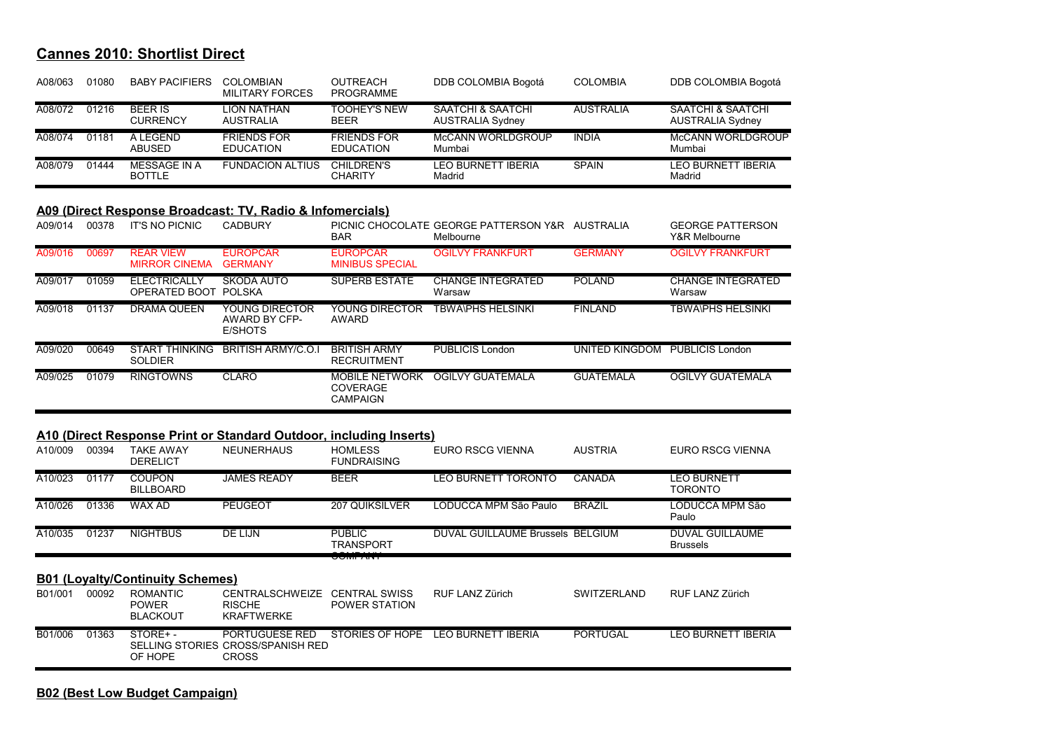| A08/063 | 01080 | <b>BABY PACIFIERS</b>             | COLOMBIAN<br><b>MILITARY FORCES</b>    | <b>OUTREACH</b><br><b>PROGRAMME</b>    | DDB COLOMBIA Bogotá                          | <b>COLOMBIA</b>  | DDB COLOMBIA Bogotá                          |
|---------|-------|-----------------------------------|----------------------------------------|----------------------------------------|----------------------------------------------|------------------|----------------------------------------------|
| A08/072 | 01216 | <b>BEER IS</b><br><b>CURRENCY</b> | LION NATHAN<br>AUSTRALIA               | <b>TOOHEY'S NEW</b><br><b>BEER</b>     | SAATCHI & SAATCHI<br><b>AUSTRALIA Sydney</b> | <b>AUSTRALIA</b> | SAATCHI & SAATCHI<br><b>AUSTRALIA Sydney</b> |
| A08/074 | 01181 | A LEGEND<br>ABUSED                | <b>FRIENDS FOR</b><br><b>EDUCATION</b> | <b>FRIENDS FOR</b><br><b>EDUCATION</b> | McCANN WORLDGROUP<br>Mumbai                  | <b>INDIA</b>     | McCANN WORLDGROUP<br>Mumbai                  |
| A08/079 | 01444 | MESSAGE IN A<br><b>BOTTLE</b>     | <b>FUNDACION ALTIUS</b>                | <b>CHILDREN'S</b><br><b>CHARITY</b>    | <b>LEO BURNETT IBERIA</b><br>Madrid          | <b>SPAIN</b>     | <b>LEO BURNETT IBERIA</b><br>Madrid          |

#### **A09 (Direct Response Broadcast: TV, Radio & Infomercials)**

| A09/014 | 00378 | <b>IT'S NO PICNIC</b>                    | <b>CADBURY</b>                             | <b>BAR</b>                                           | PICNIC CHOCOLATE GEORGE PATTERSON Y&R<br>Melbourne | <b>AUSTRALIA</b> | <b>GEORGE PATTERSON</b><br>Y&R Melbourne |
|---------|-------|------------------------------------------|--------------------------------------------|------------------------------------------------------|----------------------------------------------------|------------------|------------------------------------------|
| A09/016 | 00697 | <b>REAR VIEW</b><br><b>MIRROR CINEMA</b> | <b>EUROPCAR</b><br><b>GERMANY</b>          | <b>EUROPCAR</b><br><b>MINIBUS SPECIAL</b>            | <b>OGILVY FRANKFURT</b>                            | <b>GERMANY</b>   | <b>OGILVY FRANKFURT</b>                  |
| A09/017 | 01059 | <b>ELECTRICALLY</b><br>OPERATED BOOT     | SKODA AUTO<br>POLSKA                       | <b>SUPERB ESTATE</b>                                 | <b>CHANGE INTEGRATED</b><br>Warsaw                 | <b>POLAND</b>    | <b>CHANGE INTEGRATED</b><br>Warsaw       |
| A09/018 | 01137 | DRAMA QUEEN                              | YOUNG DIRECTOR<br>AWARD BY CFP-<br>E/SHOTS | YOUNG DIRECTOR<br>AWARD                              | <b>TBWA\PHS HELSINKI</b>                           | <b>FINLAND</b>   | <b>TBWA\PHS HELSINKI</b>                 |
| A09/020 | 00649 | <b>START THINKING</b><br><b>SOLDIER</b>  | BRITISH ARMY/C.O.I                         | <b>BRITISH ARMY</b><br><b>RECRUITMENT</b>            | PUBLICIS London                                    | UNITED KINGDOM   | PUBLICIS London                          |
| A09/025 | 01079 | <b>RINGTOWNS</b>                         | CLARO                                      | <b>MOBILE NETWORK</b><br>COVERAGE<br><b>CAMPAIGN</b> | OGILVY GUATEMALA                                   | <b>GUATEMALA</b> | OGILVY GUATEMALA                         |

#### **A10 (Direct Response Print or Standard Outdoor, including Inserts)**

| A10/009 | 00394 | <b>TAKE AWAY</b><br><b>DERELICT</b>                | <b>NEUNERHAUS</b>                                            | <b>HOMLESS</b><br><b>FUNDRAISING</b>         | EURO RSCG VIENNA                 | <b>AUSTRIA</b>     | EURO RSCG VIENNA                          |
|---------|-------|----------------------------------------------------|--------------------------------------------------------------|----------------------------------------------|----------------------------------|--------------------|-------------------------------------------|
| A10/023 | 01177 | COUPON<br><b>BILLBOARD</b>                         | <b>JAMES READY</b>                                           | <b>BEER</b>                                  | <b>LEO BURNETT TORONTO</b>       | CANADA             | LEO BURNETT<br><b>TORONTO</b>             |
| A10/026 | 01336 | WAX AD                                             | <b>PEUGEOT</b>                                               | <b>207 QUIKSILVER</b>                        | LODUCCA MPM São Paulo            | <b>BRAZIL</b>      | LODUCCA MPM São<br>Paulo                  |
| A10/035 | 01237 | <b>NIGHTBUS</b>                                    | DE LIJN                                                      | <b>PUBLIC</b><br>TRANSPORT                   | DUVAL GUILLAUME Brussels BELGIUM |                    | <b>DUVAL GUILLAUME</b><br><b>Brussels</b> |
|         |       |                                                    |                                                              |                                              |                                  |                    |                                           |
|         |       |                                                    |                                                              | <b>UUNIT ANT</b>                             |                                  |                    |                                           |
|         |       | <b>B01 (Loyalty/Continuity Schemes)</b>            |                                                              |                                              |                                  |                    |                                           |
| B01/001 | 00092 | <b>ROMANTIC</b><br><b>POWER</b><br><b>BLACKOUT</b> | <b>CENTRALSCHWEIZE</b><br><b>RISCHE</b><br><b>KRAFTWERKE</b> | <b>CENTRAL SWISS</b><br><b>POWER STATION</b> | RUF LANZ Zürich                  | <b>SWITZERLAND</b> | RUF LANZ Zürich                           |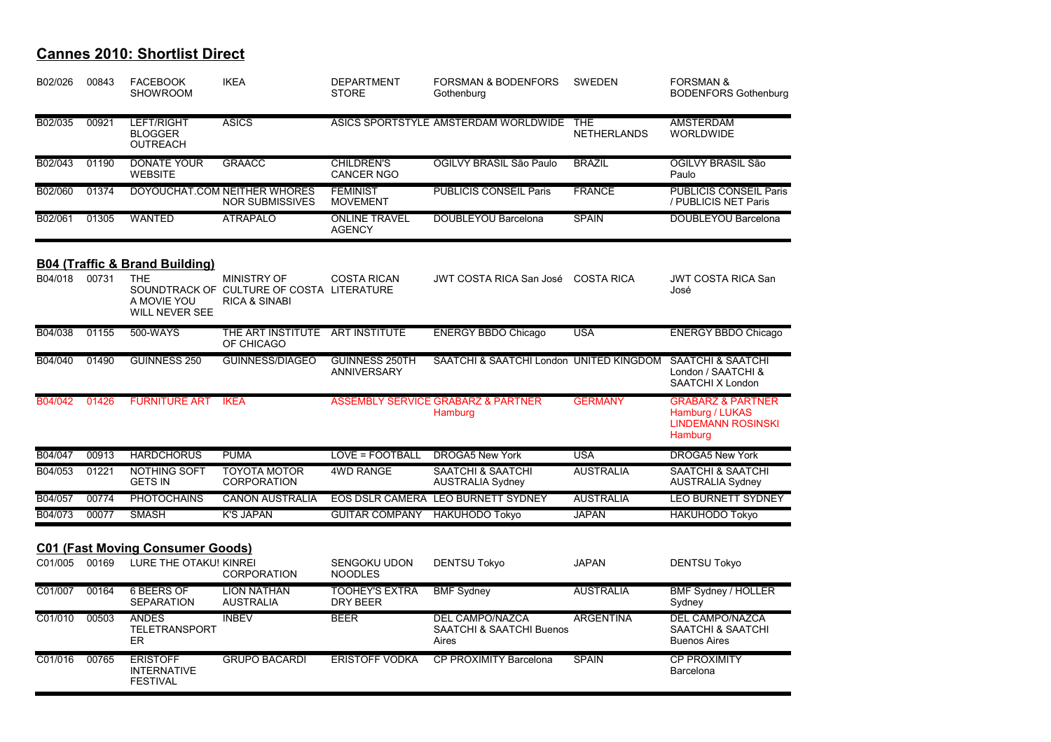| B02/026 | 00843 | <b>FACEBOOK</b><br><b>SHOWROOM</b>                       | <b>IKEA</b>                                                                          | <b>DEPARTMENT</b><br><b>STORE</b>           | <b>FORSMAN &amp; BODENFORS</b><br>Gothenburg                | <b>SWEDEN</b>                    | <b>FORSMAN &amp;</b><br><b>BODENFORS Gothenburg</b>                                     |
|---------|-------|----------------------------------------------------------|--------------------------------------------------------------------------------------|---------------------------------------------|-------------------------------------------------------------|----------------------------------|-----------------------------------------------------------------------------------------|
| B02/035 | 00921 | LEFT/RIGHT<br><b>BLOGGER</b><br><b>OUTREACH</b>          | <b>ASICS</b>                                                                         |                                             | ASICS SPORTSTYLE AMSTERDAM WORLDWIDE                        | <b>THE</b><br><b>NETHERLANDS</b> | <b>AMSTERDAM</b><br><b>WORLDWIDE</b>                                                    |
| B02/043 | 01190 | <b>DONATE YOUR</b><br><b>WEBSITE</b>                     | <b>GRAACC</b>                                                                        | <b>CHILDREN'S</b><br><b>CANCER NGO</b>      | OGILVY BRASIL São Paulo                                     | <b>BRAZIL</b>                    | OGILVY BRASIL São<br>Paulo                                                              |
| B02/060 | 01374 |                                                          | DOYOUCHAT.COM NEITHER WHORES<br><b>NOR SUBMISSIVES</b>                               | <b>FEMINIST</b><br><b>MOVEMENT</b>          | <b>PUBLICIS CONSEIL Paris</b>                               | <b>FRANCE</b>                    | <b>PUBLICIS CONSEIL Paris</b><br>/ PUBLICIS NET Paris                                   |
| B02/061 | 01305 | <b>WANTED</b>                                            | <b>ATRÁPALO</b>                                                                      | <b>ONLINE TRAVEL</b><br><b>AGENCY</b>       | <b>DOUBLEYOU Barcelona</b>                                  | <b>SPAIN</b>                     | DOUBLEYOU Barcelona                                                                     |
|         |       | <b>B04 (Traffic &amp; Brand Building)</b>                |                                                                                      |                                             |                                                             |                                  |                                                                                         |
| B04/018 | 00731 | <b>THE</b><br>A MOVIE YOU<br><b>WILL NEVER SEE</b>       | MINISTRY OF<br>SOUNDTRACK OF CULTURE OF COSTA LITERATURE<br><b>RICA &amp; SINABI</b> | <b>COSTA RICAN</b>                          | JWT COSTA RICA San José                                     | <b>COSTA RICA</b>                | <b>JWT COSTA RICA San</b><br>José                                                       |
| B04/038 | 01155 | 500-WAYS                                                 | THE ART INSTITUTE ART INSTITUTE<br>OF CHICAGO                                        |                                             | <b>ENERGY BBDO Chicago</b>                                  | <b>USA</b>                       | <b>ENERGY BBDO Chicago</b>                                                              |
| B04/040 | 01490 | GUINNESS 250                                             | <b>GUINNESS/DIAGEO</b>                                                               | <b>GUINNESS 250TH</b><br><b>ANNIVERSARY</b> | SAATCHI & SAATCHI London UNITED KINGDOM                     |                                  | <b>SAATCHI &amp; SAATCHI</b><br>London / SAATCHI &<br>SAATCHI X London                  |
| B04/042 | 01426 | <b>FURNITURE ART</b>                                     | <b>IKEA</b>                                                                          |                                             | ASSEMBLY SERVICE GRABARZ & PARTNER<br>Hamburg               | <b>GERMANY</b>                   | <b>GRABARZ &amp; PARTNER</b><br>Hamburg / LUKAS<br><b>LINDEMANN ROSINSKI</b><br>Hamburg |
| B04/047 | 00913 | <b>HARDCHORUS</b>                                        | <b>PUMA</b>                                                                          | LOVE = FOOTBALL                             | <b>DROGA5 New York</b>                                      | <b>USA</b>                       | <b>DROGA5 New York</b>                                                                  |
| B04/053 | 01221 | <b>NOTHING SOFT</b><br><b>GETS IN</b>                    | <b>TOYOTA MOTOR</b><br><b>CORPORATION</b>                                            | <b>4WD RANGE</b>                            | <b>SAATCHI &amp; SAATCHI</b><br><b>AUSTRALIA Sydney</b>     | <b>AUSTRALIA</b>                 | <b>SAATCHI &amp; SAATCHI</b><br><b>AUSTRALIA Sydney</b>                                 |
| B04/057 | 00774 | <b>PHOTOCHAINS</b>                                       | <b>CANON AUSTRALIA</b>                                                               |                                             | EOS DSLR CAMERA LEO BURNETT SYDNEY                          | <b>AUSTRALIA</b>                 | LEO BURNETT SYDNEY                                                                      |
| B04/073 | 00077 | <b>SMASH</b>                                             | <b>K'S JAPAN</b>                                                                     | <b>GUITAR COMPANY</b>                       | <b>HAKUHODO Tokyo</b>                                       | <b>JAPAN</b>                     | <b>HAKUHODO Tokyo</b>                                                                   |
|         |       | <b>C01 (Fast Moving Consumer Goods)</b>                  |                                                                                      |                                             |                                                             |                                  |                                                                                         |
| C01/005 | 00169 | LURE THE OTAKU! KINREI                                   | <b>CORPORATION</b>                                                                   | <b>SENGOKU UDON</b><br><b>NOODLES</b>       | <b>DENTSU Tokyo</b>                                         | <b>JAPAN</b>                     | <b>DENTSU Tokyo</b>                                                                     |
| C01/007 | 00164 | <b>6 BEERS OF</b><br><b>SEPARATION</b>                   | <b>LION NATHAN</b><br><b>AUSTRALIA</b>                                               | <b>TOOHEY'S EXTRA</b><br>DRY BEER           | <b>BMF Sydney</b>                                           | <b>AUSTRALIA</b>                 | BMF Sydney / HOLLER<br>Sydney                                                           |
| C01/010 | 00503 | <b>ANDES</b><br>TELETRANSPORT<br><b>ER</b>               | <b>INBEV</b>                                                                         | <b>BEER</b>                                 | <b>DEL CAMPO/NAZCA</b><br>SAATCHI & SAATCHI Buenos<br>Aires | <b>ARGENTINA</b>                 | <b>DEL CAMPO/NAZCA</b><br>SAATCHI & SAATCHI<br><b>Buenos Aires</b>                      |
| C01/016 | 00765 | <b>ERISTOFF</b><br><b>INTERNATIVE</b><br><b>FESTIVAL</b> | <b>GRUPO BACARDÍ</b>                                                                 | <b>ERISTOFF VODKA</b>                       | CP PROXIMITY Barcelona                                      | <b>SPAIN</b>                     | <b>CP PROXIMITY</b><br>Barcelona                                                        |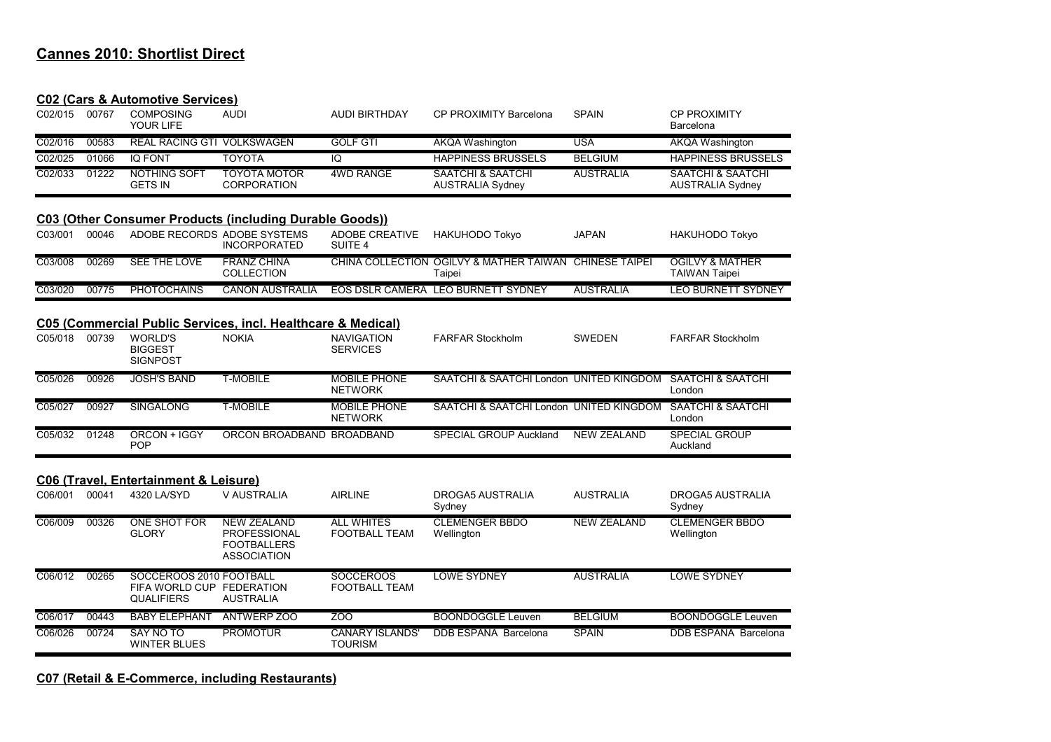| <b>C02 (Cars &amp; Automotive Services)</b> |
|---------------------------------------------|
|---------------------------------------------|

| C02/015 | 00767 | <u>CUZ (Cais &amp; Automotive Services)</u><br><b>COMPOSING</b><br>YOUR LIFE | <b>AUDI</b>                                                                           | <b>AUDI BIRTHDAY</b>                      | CP PROXIMITY Barcelona                                  | <b>SPAIN</b>          | <b>CP PROXIMITY</b><br>Barcelona                        |
|---------|-------|------------------------------------------------------------------------------|---------------------------------------------------------------------------------------|-------------------------------------------|---------------------------------------------------------|-----------------------|---------------------------------------------------------|
| C02/016 | 00583 | <b>REAL RACING GTI VOLKSWAGEN</b>                                            |                                                                                       | <b>GOLF GTI</b>                           | <b>AKQA Washington</b>                                  | <b>USA</b>            | <b>AKQA Washington</b>                                  |
| C02/025 | 01066 | <b>IQ FONT</b>                                                               | <b>TOYOTA</b>                                                                         | $\overline{10}$                           | <b>HAPPINESS BRUSSELS</b>                               | <b>BELGIUM</b>        | <b>HAPPINESS BRUSSELS</b>                               |
| C02/033 | 01222 | NOTHING SOFT<br><b>GETS IN</b>                                               | <b>TOYOTA MOTOR</b><br><b>CORPORATION</b>                                             | <b>4WD RANGE</b>                          | <b>SAATCHI &amp; SAATCHI</b><br><b>AUSTRALIA Sydney</b> | <b>AUSTRALIA</b>      | <b>SAATCHI &amp; SAATCHI</b><br><b>AUSTRALIA Sydney</b> |
|         |       |                                                                              | C03 (Other Consumer Products (including Durable Goods))                               |                                           |                                                         |                       |                                                         |
| C03/001 | 00046 | ADOBE RECORDS ADOBE SYSTEMS                                                  | <b>INCORPORATED</b>                                                                   | ADOBE CREATIVE<br>SUITE <sub>4</sub>      | <b>HAKUHODO Tokyo</b>                                   | <b>JAPAN</b>          | <b>HAKUHODO Tokyo</b>                                   |
| C03/008 | 00269 | <b>SEE THE LOVE</b>                                                          | <b>FRANZ CHINA</b><br><b>COLLECTION</b>                                               |                                           | CHINA COLLECTION OGILVY & MATHER TAIWAN<br>Taipei       | <b>CHINESE TAIPEI</b> | <b>OGILVY &amp; MATHER</b><br><b>TAIWAN Taipei</b>      |
| C03/020 | 00775 | <b>PHOTOCHAINS</b>                                                           | <b>CANON AUSTRALIA</b>                                                                |                                           | EOS DSLR CAMERA LEO BURNETT SYDNEY                      | <b>AUSTRALIA</b>      | <b>LEO BURNETT SYDNEY</b>                               |
| C05/018 | 00739 | <b>WORLD'S</b><br><b>BIGGEST</b><br><b>SIGNPOST</b>                          | C05 (Commercial Public Services, incl. Healthcare & Medical)<br><b>NOKIA</b>          | <b>NAVIGATION</b><br><b>SERVICES</b>      | <b>FARFAR Stockholm</b>                                 | <b>SWEDEN</b>         | <b>FARFAR Stockholm</b>                                 |
| C05/026 | 00926 | <b>JOSH'S BAND</b>                                                           | <b>T-MOBILE</b>                                                                       | <b>MOBILE PHONE</b><br><b>NETWORK</b>     | SAATCHI & SAATCHI London UNITED KINGDOM                 |                       | <b>SAATCHI &amp; SAATCHI</b><br>London                  |
| C05/027 | 00927 | <b>SINGALONG</b>                                                             | <b>T-MOBILE</b>                                                                       | <b>MOBILE PHONE</b><br><b>NETWORK</b>     | SAATCHI & SAATCHI London UNITED KINGDOM                 |                       | <b>SAATCHI &amp; SAATCHI</b><br>London                  |
| C05/032 | 01248 | ORCON + IGGY<br><b>POP</b>                                                   | ORCON BROADBAND BROADBAND                                                             |                                           | <b>SPECIAL GROUP Auckland</b>                           | <b>NEW ZEALAND</b>    | <b>SPECIAL GROUP</b><br>Auckland                        |
|         |       | <b>C06 (Travel, Entertainment &amp; Leisure)</b>                             |                                                                                       |                                           |                                                         |                       |                                                         |
| C06/001 | 00041 | 4320 LA/SYD                                                                  | V AUSTRALIA                                                                           | <b>AIRLINE</b>                            | <b>DROGA5 AUSTRALIA</b><br>Sydney                       | <b>AUSTRALIA</b>      | <b>DROGA5 AUSTRALIA</b><br>Sydney                       |
| C06/009 | 00326 | <b>ONE SHOT FOR</b><br><b>GLORY</b>                                          | <b>NEW ZEALAND</b><br><b>PROFESSIONAL</b><br><b>FOOTBALLERS</b><br><b>ASSOCIATION</b> | <b>ALL WHITES</b><br><b>FOOTBALL TEAM</b> | <b>CLEMENGER BBDO</b><br>Wellington                     | <b>NEW ZEALAND</b>    | <b>CLEMENGER BBDO</b><br>Wellington                     |
| C06/012 | 00265 | SOCCEROOS 2010 FOOTBALL<br>FIFA WORLD CUP FEDERATION<br><b>QUALIFIERS</b>    | <b>AUSTRALIA</b>                                                                      | <b>SOCCEROOS</b><br><b>FOOTBALL TEAM</b>  | <b>LOWE SYDNEY</b>                                      | <b>AUSTRALIA</b>      | <b>LOWE SYDNEY</b>                                      |
| C06/017 | 00443 | <b>BABY ELEPHANT</b>                                                         | <b>ANTWERP ZOO</b>                                                                    | ZOO                                       | <b>BOONDOGGLE Leuven</b>                                | <b>BELGIUM</b>        | <b>BOONDOGGLE Leuven</b>                                |
| C06/026 | 00724 | <b>SAY NO TO</b><br><b>WINTER BLUES</b>                                      | <b>PROMOTUR</b>                                                                       | <b>CANARY ISLANDS'</b><br><b>TOURISM</b>  | DDB ESPAÑA Barcelona                                    | <b>SPAIN</b>          | DDB ESPAÑA Barcelona                                    |

#### **C07 (Retail & E-Commerce, including Restaurants)**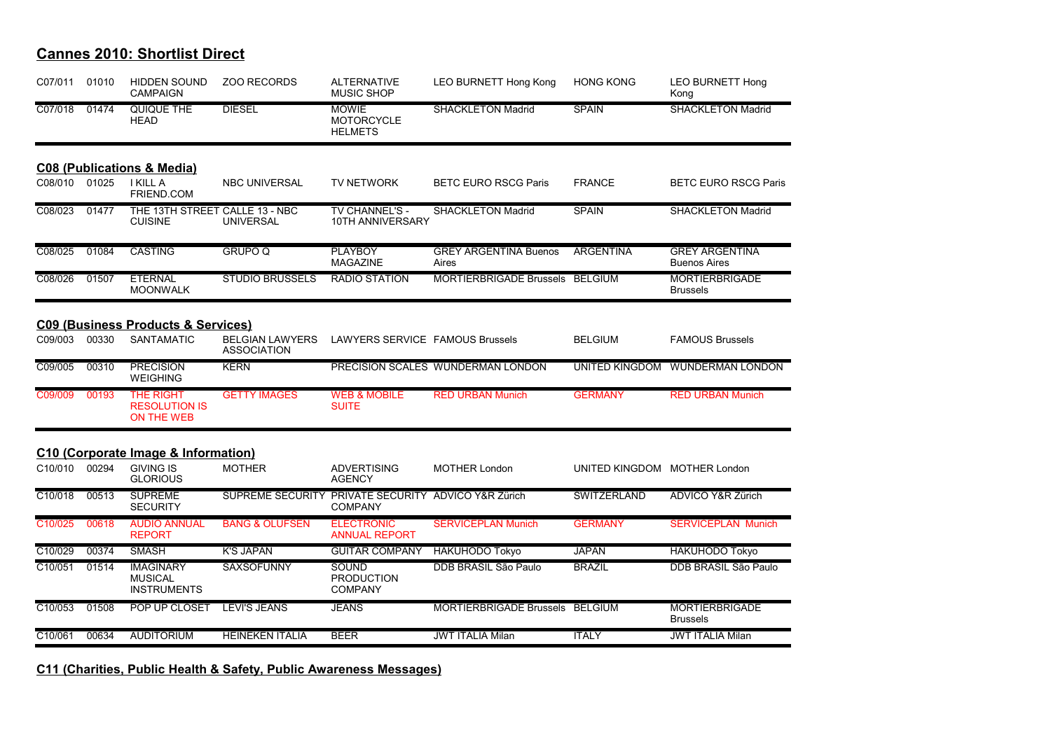| C07/011              | 01010 | <b>HIDDEN SOUND</b><br><b>CAMPAIGN</b>                        | <b>ZOO RECORDS</b>                                  | <b>ALTERNATIVE</b><br><b>MUSIC SHOP</b>             | <b>LEO BURNETT Hong Kong</b>          | <b>HONG KONG</b>             | <b>LEO BURNETT Hong</b><br>Kong              |
|----------------------|-------|---------------------------------------------------------------|-----------------------------------------------------|-----------------------------------------------------|---------------------------------------|------------------------------|----------------------------------------------|
| C07/018              | 01474 | QUIQUE THE<br><b>HEAD</b>                                     | <b>DIESEL</b>                                       | <b>MOWIE</b><br><b>MOTORCYCLE</b><br><b>HELMETS</b> | <b>SHACKLETON Madrid</b>              | <b>SPAIN</b>                 | <b>SHACKLETON Madrid</b>                     |
|                      |       | <b>C08 (Publications &amp; Media)</b>                         |                                                     |                                                     |                                       |                              |                                              |
| C08/010              | 01025 | <b>I KILL A</b><br>FRIEND.COM                                 | <b>NBC UNIVERSAL</b>                                | <b>TV NETWORK</b>                                   | <b>BETC EURO RSCG Paris</b>           | <b>FRANCE</b>                | <b>BETC EURO RSCG Paris</b>                  |
| C08/023              | 01477 | THE 13TH STREET CALLE 13 - NBC<br><b>CUISINE</b>              | <b>UNIVERSAL</b>                                    | <b>TV CHANNEL'S -</b><br>10TH ANNIVERSARY           | <b>SHACKLETON Madrid</b>              | <b>SPAIN</b>                 | <b>SHACKLETON Madrid</b>                     |
| C08/025              | 01084 | <b>CASTING</b>                                                | <b>GRUPO Q</b>                                      | <b>PLAYBOY</b><br><b>MAGAZINE</b>                   | <b>GREY ARGENTINA Buenos</b><br>Aires | <b>ARGENTINA</b>             | <b>GREY ARGENTINA</b><br><b>Buenos Aires</b> |
| C08/026              | 01507 | <b>ETERNAL</b><br><b>MOONWALK</b>                             | <b>STUDIO BRUSSELS</b>                              | <b>RADIO STATION</b>                                | MORTIERBRIGADE Brussels BELGIUM       |                              | <b>MORTIERBRIGADE</b><br><b>Brussels</b>     |
|                      |       | <b>C09 (Business Products &amp; Services)</b>                 |                                                     |                                                     |                                       |                              |                                              |
| C09/003              | 00330 | <b>SANTAMATIC</b>                                             | <b>BELGIAN LAWYERS</b><br><b>ASSOCIATION</b>        | LAWYERS SERVICE FAMOUS Brussels                     |                                       | <b>BELGIUM</b>               | <b>FAMOUS Brussels</b>                       |
| C09/005              | 00310 | <b>PRECISION</b><br><b>WEIGHING</b>                           | <b>KERN</b>                                         |                                                     | PRECISION SCALES WUNDERMAN LONDON     | UNITED KINGDOM               | <b>WUNDERMAN LONDON</b>                      |
| C09/009              | 00193 | <b>THE RIGHT</b><br><b>RESOLUTION IS</b><br><b>ON THE WEB</b> | <b>GETTY IMAGES</b>                                 | <b>WEB &amp; MOBILE</b><br><b>SUITE</b>             | <b>RED URBAN Munich</b>               | <b>GERMANY</b>               | <b>RED URBAN Munich</b>                      |
|                      |       | C10 (Corporate Image & Information)                           |                                                     |                                                     |                                       |                              |                                              |
| C10/010              | 00294 | <b>GIVING IS</b><br><b>GLORIOUS</b>                           | <b>MOTHER</b>                                       | <b>ADVERTISING</b><br><b>AGENCY</b>                 | <b>MOTHER London</b>                  | UNITED KINGDOM MOTHER London |                                              |
| C <sub>10</sub> /018 | 00513 | <b>SUPREME</b><br><b>SECURITY</b>                             | SUPREME SECURITY PRIVATE SECURITY ADVICO Y&R Zürich | <b>COMPANY</b>                                      |                                       | <b>SWITZERLAND</b>           | <b>ADVICO Y&amp;R Zürich</b>                 |
| C10/025              | 00618 | <b>AUDIO ANNUAL</b><br><b>REPORT</b>                          | <b>BANG &amp; OLUFSEN</b>                           | <b>ELECTRONIC</b><br><b>ANNUAL REPORT</b>           | <b>SERVICEPLAN Munich</b>             | <b>GERMANY</b>               | <b>SERVICEPLAN Munich</b>                    |
| C10/029              | 00374 | <b>SMASH</b>                                                  | <b>K'S JAPAN</b>                                    | <b>GUITAR COMPANY</b>                               | <b>HAKUHODO Tokyo</b>                 | <b>JAPAN</b>                 | <b>HAKUHODO Tokyo</b>                        |
| C10/051              | 01514 | <b>IMAGINARY</b><br><b>MUSICAL</b><br><b>INSTRUMENTS</b>      | <b>SAXSOFUNNY</b>                                   | <b>SOUND</b><br><b>PRODUCTION</b><br><b>COMPANY</b> | DDB BRASIL São Paulo                  | <b>BRAZIL</b>                | DDB BRASIL São Paulo                         |
| $\overline{C10/053}$ | 01508 | POP UP CLOSET                                                 | <b>LEVI'S JEANS</b>                                 | <b>JEANS</b>                                        | MORTIERBRIGADE Brussels BELGIUM       |                              | <b>MORTIERBRIGADE</b><br><b>Brussels</b>     |
| C10/061              | 00634 | <b>AUDITORIUM</b>                                             | <b>HEINEKEN ITALIA</b>                              | <b>BEER</b>                                         | <b>JWT ITALIA Milan</b>               | <b>ITALY</b>                 | <b>JWT ITALIA Milan</b>                      |

#### **C11 (Charities, Public Health & Safety, Public Awareness Messages)**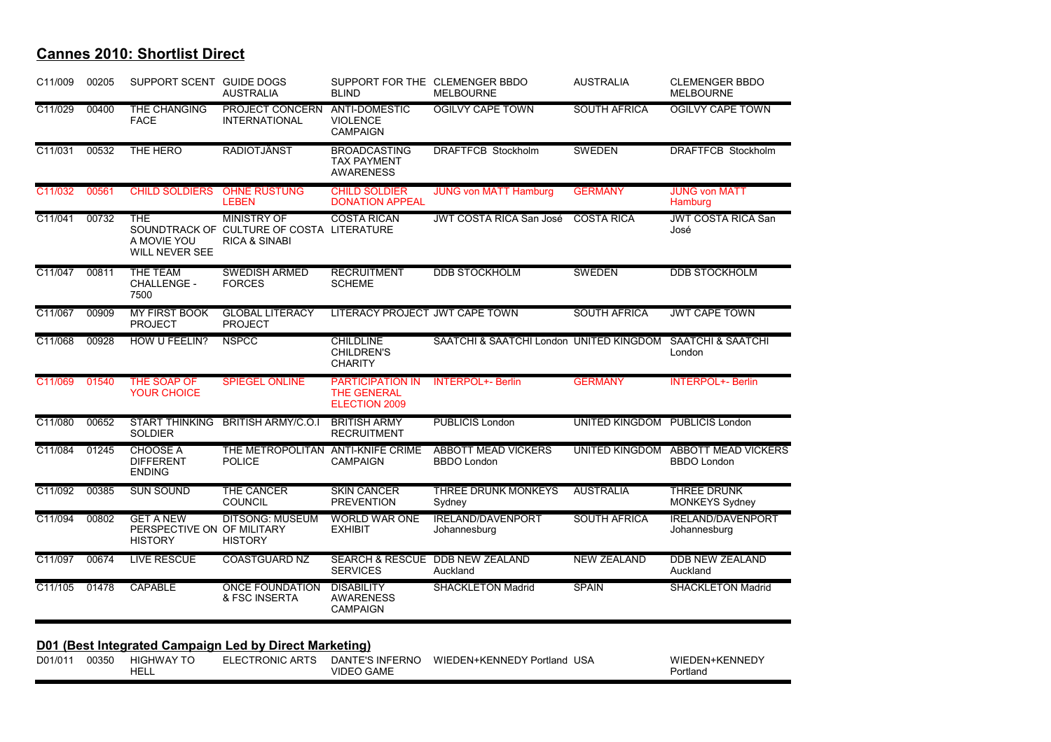| C11/009              | 00205 | SUPPORT SCENT GUIDE DOGS                                         | <b>AUSTRALIA</b>                                                                            | <b>BLIND</b>                                                   | SUPPORT FOR THE CLEMENGER BBDO<br><b>MELBOURNE</b> | <b>AUSTRALIA</b>               | <b>CLEMENGER BBDO</b><br><b>MELBOURNE</b>        |
|----------------------|-------|------------------------------------------------------------------|---------------------------------------------------------------------------------------------|----------------------------------------------------------------|----------------------------------------------------|--------------------------------|--------------------------------------------------|
| C11/029              | 00400 | THE CHANGING<br><b>FACE</b>                                      | <b>PROJECT CONCERN</b><br><b>INTERNATIONAL</b>                                              | ANTI-DOMESTIC<br><b>VIOLENCE</b><br><b>CAMPAIGN</b>            | <b>OGILVY CAPE TOWN</b>                            | <b>SOUTH AFRICA</b>            | <b>OGILVY CAPE TOWN</b>                          |
| C11/031              | 00532 | THE HERO                                                         | <b>RADIOTJÄNST</b>                                                                          | <b>BROADCASTING</b><br><b>TAX PAYMENT</b><br><b>AWARENESS</b>  | <b>DRAFTFCB Stockholm</b>                          | <b>SWEDEN</b>                  | <b>DRAFTFCB Stockholm</b>                        |
| C11/032              | 00561 | <b>CHILD SOLDIERS</b>                                            | <b>OHNE RÜSTUNG</b><br><b>LEBEN</b>                                                         | <b>CHILD SOLDIER</b><br><b>DONATION APPEAL</b>                 | <b>JUNG von MATT Hamburg</b>                       | <b>GERMANY</b>                 | <b>JUNG von MATT</b><br>Hamburg                  |
| C11/041              | 00732 | <b>THE</b><br>A MOVIE YOU<br><b>WILL NEVER SEE</b>               | <b>MINISTRY OF</b><br>SOUNDTRACK OF CULTURE OF COSTA LITERATURE<br><b>RICA &amp; SINABI</b> | <b>COSTA RICAN</b>                                             | <b>JWT COSTA RICA San José</b>                     | <b>COSTA RICA</b>              | <b>JWT COSTA RICA San</b><br>José                |
| C11/047              | 00811 | <b>THE TEAM</b><br><b>CHALLENGE -</b><br>7500                    | <b>SWEDISH ARMED</b><br><b>FORCES</b>                                                       | <b>RECRUITMENT</b><br><b>SCHEME</b>                            | <b>DDB STOCKHOLM</b>                               | <b>SWEDEN</b>                  | <b>DDB STOCKHOLM</b>                             |
| C11/067              | 00909 | <b>MY FIRST BOOK</b><br><b>PROJECT</b>                           | <b>GLOBAL LITERACY</b><br><b>PROJECT</b>                                                    | LITERACY PROJECT JWT CAPE TOWN                                 |                                                    | <b>SOUTH AFRICA</b>            | <b>JWT CAPE TOWN</b>                             |
| C11/068              | 00928 | HOW U FEELIN?                                                    | <b>NSPCC</b>                                                                                | <b>CHILDLINE</b><br><b>CHILDREN'S</b><br><b>CHARITY</b>        | SAATCHI & SAATCHI London UNITED KINGDOM            |                                | <b>SAATCHI &amp; SAATCHI</b><br>London           |
| C11/069              | 01540 | THE SOAP OF<br><b>YOUR CHOICE</b>                                | <b>SPIEGEL ONLINE</b>                                                                       | <b>PARTICIPATION IN</b><br><b>THE GENERAL</b><br>ELECTION 2009 | <b>INTERPOL+- Berlin</b>                           | <b>GERMANY</b>                 | <b>INTERPOL+- Berlin</b>                         |
| C11/080              | 00652 | <b>START THINKING</b><br><b>SOLDIER</b>                          | <b>BRITISH ARMY/C.O.I</b>                                                                   | <b>BRITISH ARMY</b><br><b>RECRUITMENT</b>                      | <b>PUBLICIS London</b>                             | UNITED KINGDOM PUBLICIS London |                                                  |
| C11/084              | 01245 | <b>CHOOSE A</b><br><b>DIFFERENT</b><br><b>ENDING</b>             | THE METROPOLITAN ANTI-KNIFE CRIME<br><b>POLICE</b>                                          | <b>CAMPAIGN</b>                                                | <b>ABBOTT MEAD VICKERS</b><br><b>BBDO London</b>   | <b>UNITED KINGDOM</b>          | <b>ABBOTT MEAD VICKERS</b><br><b>BBDO London</b> |
| C11/092              | 00385 | <b>SUN SOUND</b>                                                 | THE CANCER<br><b>COUNCIL</b>                                                                | <b>SKIN CANCER</b><br><b>PREVENTION</b>                        | <b>THREE DRUNK MONKEYS</b><br>Sydney               | <b>AUSTRALIA</b>               | <b>THREE DRUNK</b><br><b>MONKEYS Sydney</b>      |
| C11/094              | 00802 | <b>GET A NEW</b><br>PERSPECTIVE ON OF MILITARY<br><b>HISTORY</b> | <b>DITSONG: MUSEUM</b><br><b>HISTORY</b>                                                    | <b>WORLD WAR ONE</b><br><b>EXHIBIT</b>                         | <b>IRELAND/DAVENPORT</b><br>Johannesburg           | <b>SOUTH AFRICA</b>            | <b>IRELAND/DAVENPORT</b><br>Johannesburg         |
| C11/097              | 00674 | <b>LIVE RESCUE</b>                                               | <b>COASTGUARD NZ</b>                                                                        | <b>SERVICES</b>                                                | SEARCH & RESCUE DDB NEW ZEALAND<br>Auckland        | <b>NEW ZEALAND</b>             | <b>DDB NEW ZEALAND</b><br>Auckland               |
| $\overline{C11/105}$ | 01478 | <b>CAPABLE</b>                                                   | <b>ONCE FOUNDATION</b><br>& FSC INSERTA                                                     | <b>DISABILITY</b><br><b>AWARENESS</b><br><b>CAMPAIGN</b>       | <b>SHACKLETON Madrid</b>                           | <b>SPAIN</b>                   | <b>SHACKLETON Madrid</b>                         |

| D01/01' | 00350 | HIG  | RONIC<br>ARIS<br>. . | ERNC<br>. INF!<br>JAN' | USA<br>WIF<br>=NNF<br>ำ FN+k.<br>חרי<br>TIS | -NNEL<br>Λ/II<br>$1 - 11 + K$ |
|---------|-------|------|----------------------|------------------------|---------------------------------------------|-------------------------------|
|         |       | HELL |                      | VIDI<br>AML            |                                             | Portland                      |